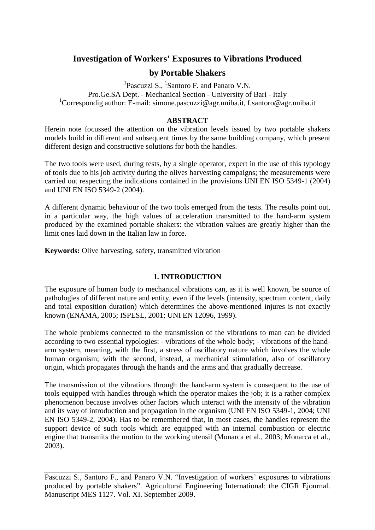# **Investigation of Workers' Exposures to Vibrations Produced**

# **by Portable Shakers**

<sup>1</sup>Pascuzzi S., <sup>1</sup>Santoro F. and Panaro V.N. Pro.Ge.SA Dept. - Mechanical Section - University of Bari - Italy <sup>1</sup>Correspondig author: E-mail: simone.pascuzzi@agr.uniba.it, f.santoro@agr.uniba.it

### **ABSTRACT**

Herein note focussed the attention on the vibration levels issued by two portable shakers models build in different and subsequent times by the same building company, which present different design and constructive solutions for both the handles.

The two tools were used, during tests, by a single operator, expert in the use of this typology of tools due to his job activity during the olives harvesting campaigns; the measurements were carried out respecting the indications contained in the provisions UNI EN ISO 5349-1 (2004) and UNI EN ISO 5349-2 (2004).

A different dynamic behaviour of the two tools emerged from the tests. The results point out, in a particular way, the high values of acceleration transmitted to the hand-arm system produced by the examined portable shakers: the vibration values are greatly higher than the limit ones laid down in the Italian law in force.

**Keywords:** Olive harvesting, safety, transmitted vibration

## **1. INTRODUCTION**

The exposure of human body to mechanical vibrations can, as it is well known, be source of pathologies of different nature and entity, even if the levels (intensity, spectrum content, daily and total exposition duration) which determines the above-mentioned injures is not exactly known (ENAMA, 2005; ISPESL, 2001; UNI EN 12096, 1999).

The whole problems connected to the transmission of the vibrations to man can be divided according to two essential typologies: - vibrations of the whole body; - vibrations of the handarm system, meaning, with the first, a stress of oscillatory nature which involves the whole human organism; with the second, instead, a mechanical stimulation, also of oscillatory origin, which propagates through the hands and the arms and that gradually decrease.

The transmission of the vibrations through the hand-arm system is consequent to the use of tools equipped with handles through which the operator makes the job; it is a rather complex phenomenon because involves other factors which interact with the intensity of the vibration and its way of introduction and propagation in the organism (UNI EN ISO 5349-1, 2004; UNI EN ISO 5349-2, 2004). Has to be remembered that, in most cases, the handles represent the support device of such tools which are equipped with an internal combustion or electric engine that transmits the motion to the working utensil (Monarca et al., 2003; Monarca et al., 2003).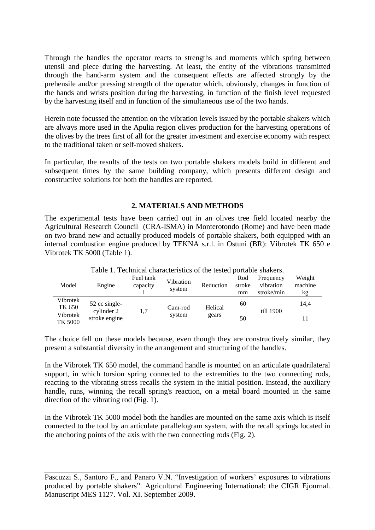Through the handles the operator reacts to strengths and moments which spring between utensil and piece during the harvesting. At least, the entity of the vibrations transmitted through the hand-arm system and the consequent effects are affected strongly by the prehensile and/or pressing strength of the operator which, obviously, changes in function of the hands and wrists position during the harvesting, in function of the finish level requested by the harvesting itself and in function of the simultaneous use of the two hands.

Herein note focussed the attention on the vibration levels issued by the portable shakers which are always more used in the Apulia region olives production for the harvesting operations of the olives by the trees first of all for the greater investment and exercise economy with respect to the traditional taken or self-moved shakers.

In particular, the results of the tests on two portable shakers models build in different and subsequent times by the same building company, which presents different design and constructive solutions for both the handles are reported.

### **2. MATERIALS AND METHODS**

The experimental tests have been carried out in an olives tree field located nearby the Agricultural Research Council (CRA-ISMA) in Monterotondo (Rome) and have been made on two brand new and actually produced models of portable shakers, both equipped with an internal combustion engine produced by TEKNA s.r.l. in Ostuni (BR): Vibrotek TK 650 e Vibrotek TK 5000 (Table 1).

| Table 1. Technical enargeteristics of the tested portable shakers. |                                              |                       |                     |                  |                     |                                      |                         |  |
|--------------------------------------------------------------------|----------------------------------------------|-----------------------|---------------------|------------------|---------------------|--------------------------------------|-------------------------|--|
| Model                                                              | Engine                                       | Fuel tank<br>capacity | Vibration<br>system | Reduction        | Rod<br>stroke<br>mm | Frequency<br>vibration<br>stroke/min | Weight<br>machine<br>kg |  |
| Vibrotek<br>TK 650                                                 | 52 cc single-<br>cylinder 2<br>stroke engine | 1,7                   | Cam-rod<br>system   | Helical<br>gears | 60                  | till 1900                            | 14.4                    |  |
| Vibrotek<br>TK 5000                                                |                                              |                       |                     |                  | 50                  |                                      |                         |  |

Table 1. Technical characteristics of the tested portable shakers.

The choice fell on these models because, even though they are constructively similar, they present a substantial diversity in the arrangement and structuring of the handles.

In the Vibrotek TK 650 model, the command handle is mounted on an articulate quadrilateral support, in which torsion spring connected to the extremities to the two connecting rods, reacting to the vibrating stress recalls the system in the initial position. Instead, the auxiliary handle, runs, winning the recall spring's reaction, on a metal board mounted in the same direction of the vibrating rod (Fig. 1).

In the Vibrotek TK 5000 model both the handles are mounted on the same axis which is itself connected to the tool by an articulate parallelogram system, with the recall springs located in the anchoring points of the axis with the two connecting rods (Fig. 2).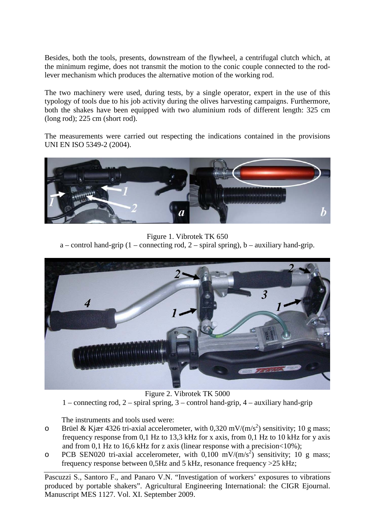Besides, both the tools, presents, downstream of the flywheel, a centrifugal clutch which, at the minimum regime, does not transmit the motion to the conic couple connected to the rodlever mechanism which produces the alternative motion of the working rod.

The two machinery were used, during tests, by a single operator, expert in the use of this typology of tools due to his job activity during the olives harvesting campaigns. Furthermore, both the shakes have been equipped with two aluminium rods of different length: 325 cm (long rod); 225 cm (short rod).

The measurements were carried out respecting the indications contained in the provisions UNI EN ISO 5349-2 (2004).



Figure 1. Vibrotek TK 650

a – control hand-grip  $(1 -$ connecting rod,  $2 -$ spiral spring), b – auxiliary hand-grip.



Figure 2. Vibrotek TK 5000 1 – connecting rod, 2 – spiral spring, 3 – control hand-grip, 4 – auxiliary hand-grip

The instruments and tools used were:

- o Brüel & Kjær 4326 tri-axial accelerometer, with 0,320 mV/(m/s<sup>2</sup>) sensitivity; 10 g mass; frequency response from 0,1 Hz to 13,3 kHz for x axis, from 0,1 Hz to 10 kHz for y axis and from 0,1 Hz to 16,6 kHz for z axis (linear response with a precision  $<$  10%);
- o PCB SEN020 tri-axial accelerometer, with  $0,100 \text{ mV/(m/s}^2)$  sensitivity; 10 g mass; frequency response between 0,5Hz and 5 kHz, resonance frequency >25 kHz;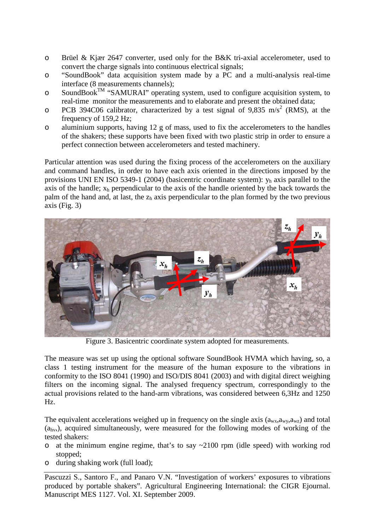- o Brüel & Kjær 2647 converter, used only for the B&K tri-axial accelerometer, used to convert the charge signals into continuous electrical signals;
- o "SoundBook" data acquisition system made by a PC and a multi-analysis real-time interface (8 measurements channels);
- $\circ$  SoundBook<sup>TM</sup> "SAMURAI" operating system, used to configure acquisition system, to real-time monitor the measurements and to elaborate and present the obtained data;
- o PCB 394C06 calibrator, characterized by a test signal of 9,835 m/s<sup>2</sup> (RMS), at the frequency of 159,2 Hz;
- o aluminium supports, having 12 g of mass, used to fix the accelerometers to the handles of the shakers; these supports have been fixed with two plastic strip in order to ensure a perfect connection between accelerometers and tested machinery.

Particular attention was used during the fixing process of the accelerometers on the auxiliary and command handles, in order to have each axis oriented in the directions imposed by the provisions UNI EN ISO 5349-1 (2004) (basicentric coordinate system):  $y<sub>h</sub>$  axis parallel to the axis of the handle;  $x_h$  perpendicular to the axis of the handle oriented by the back towards the palm of the hand and, at last, the  $z<sub>h</sub>$  axis perpendicular to the plan formed by the two previous axis (Fig. 3)



Figure 3. Basicentric coordinate system adopted for measurements.

The measure was set up using the optional software SoundBook HVMA which having, so, a class 1 testing instrument for the measure of the human exposure to the vibrations in conformity to the ISO 8041 (1990) and ISO/DIS 8041 (2003) and with digital direct weighing filters on the incoming signal. The analysed frequency spectrum, correspondingly to the actual provisions related to the hand-arm vibrations, was considered between 6,3Hz and 1250 Hz.

The equivalent accelerations weighed up in frequency on the single axis  $(a_{wx}, a_{wx}, a_{wx})$  and total  $(a<sub>h</sub>v<sub>v</sub>)$ , acquired simultaneously, were measured for the following modes of working of the tested shakers:

- o at the minimum engine regime, that's to say ~2100 rpm (idle speed) with working rod stopped;
- o during shaking work (full load);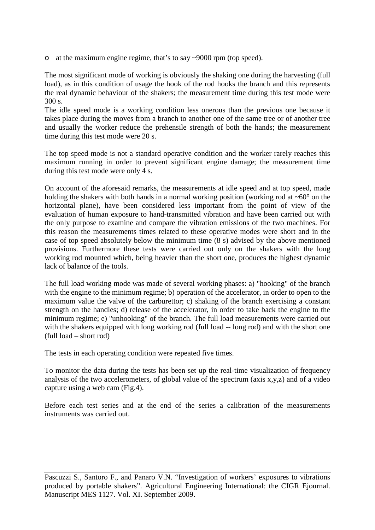o at the maximum engine regime, that's to say ~9000 rpm (top speed).

The most significant mode of working is obviously the shaking one during the harvesting (full load), as in this condition of usage the hook of the rod hooks the branch and this represents the real dynamic behaviour of the shakers; the measurement time during this test mode were 300 s.

The idle speed mode is a working condition less onerous than the previous one because it takes place during the moves from a branch to another one of the same tree or of another tree and usually the worker reduce the prehensile strength of both the hands; the measurement time during this test mode were 20 s.

The top speed mode is not a standard operative condition and the worker rarely reaches this maximum running in order to prevent significant engine damage; the measurement time during this test mode were only 4 s.

On account of the aforesaid remarks, the measurements at idle speed and at top speed, made holding the shakers with both hands in a normal working position (working rod at  $\sim 60^{\circ}$  on the horizontal plane), have been considered less important from the point of view of the evaluation of human exposure to hand-transmitted vibration and have been carried out with the only purpose to examine and compare the vibration emissions of the two machines. For this reason the measurements times related to these operative modes were short and in the case of top speed absolutely below the minimum time (8 s) advised by the above mentioned provisions. Furthermore these tests were carried out only on the shakers with the long working rod mounted which, being heavier than the short one, produces the highest dynamic lack of balance of the tools.

The full load working mode was made of several working phases: a) "hooking" of the branch with the engine to the minimum regime; b) operation of the accelerator, in order to open to the maximum value the valve of the carburettor; c) shaking of the branch exercising a constant strength on the handles; d) release of the accelerator, in order to take back the engine to the minimum regime; e) "unhooking" of the branch. The full load measurements were carried out with the shakers equipped with long working rod (full load -- long rod) and with the short one (full load – short rod)

The tests in each operating condition were repeated five times.

To monitor the data during the tests has been set up the real-time visualization of frequency analysis of the two accelerometers, of global value of the spectrum (axis x,y,z) and of a video capture using a web cam (Fig.4).

Before each test series and at the end of the series a calibration of the measurements instruments was carried out.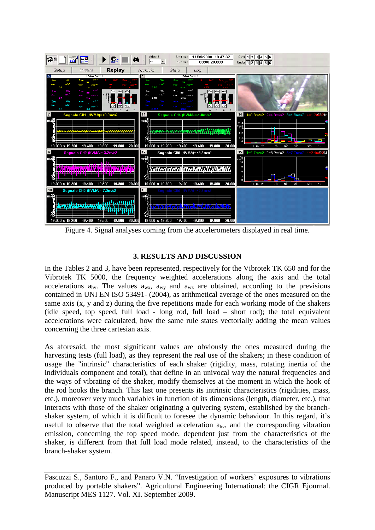

Figure 4. Signal analyses coming from the accelerometers displayed in real time.

## **3. RESULTS AND DISCUSSION**

In the Tables 2 and 3, have been represented, respectively for the Vibrotek TK 650 and for the Vibrotek TK 5000, the frequency weighted accelerations along the axis and the total accelerations  $a_{hv}$ . The values  $a_{wx}$ ,  $a_{wy}$  and  $a_{wz}$  are obtained, according to the previsions contained in UNI EN ISO 53491- (2004), as arithmetical average of the ones measured on the same axis (x, y and z) during the five repetitions made for each working mode of the shakers (idle speed, top speed, full load - long rod, full load – short rod); the total equivalent accelerations were calculated, how the same rule states vectorially adding the mean values concerning the three cartesian axis.

As aforesaid, the most significant values are obviously the ones measured during the harvesting tests (full load), as they represent the real use of the shakers; in these condition of usage the "intrinsic" characteristics of each shaker (rigidity, mass, rotating inertia of the individuals component and total), that define in an univocal way the natural frequencies and the ways of vibrating of the shaker, modify themselves at the moment in which the hook of the rod hooks the branch. This last one presents its intrinsic characteristics (rigidities, mass, etc.), moreover very much variables in function of its dimensions (length, diameter, etc.), that interacts with those of the shaker originating a quivering system, established by the branchshaker system, of which it is difficult to foresee the dynamic behaviour. In this regard, it's useful to observe that the total weighted acceleration ahv, and the corresponding vibration emission, concerning the top speed mode, dependent just from the characteristics of the shaker, is different from that full load mode related, instead, to the characteristics of the branch-shaker system.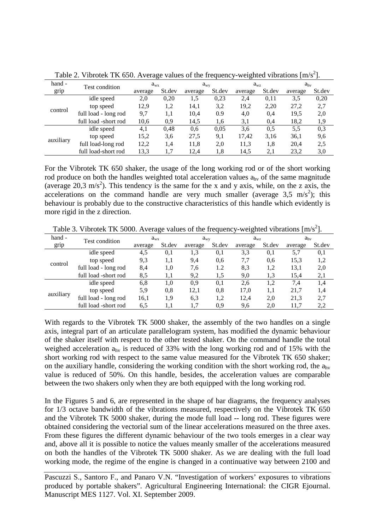|           |                      | ັ            |        |              |        | ີ            |        | -        |        |
|-----------|----------------------|--------------|--------|--------------|--------|--------------|--------|----------|--------|
| hand -    | Test condition       | $a_{\rm wx}$ |        | $a_{\rm wv}$ |        | $a_{\rm wz}$ |        | $a_{hv}$ |        |
| grip      |                      | average      | St.dev | average      | St.dev | average      | St.dev | average  | St.dev |
|           | idle speed           | 2,0          | 0,20   | 1.5          | 0,23   | 2,4          | 0,11   | 3.5      | 0,20   |
|           | top speed            | 12,9         | 1,2    | 14.1         | 3,2    | 19,2         | 2,20   | 27,2     | 2,7    |
| control   | full load - long rod | 9,7          | 1,1    | 10,4         | 0.9    | 4,0          | 0,4    | 19,5     | 2,0    |
|           | full load -short rod | 10,6         | 0,9    | 14,5         | 1,6    | 3,1          | 0,4    | 18,2     | 1,9    |
|           | idle speed           | 4,1          | 0.48   | 0.6          | 0,05   | 3,6          | 0.5    | 5.5      | 0,3    |
| auxiliary | top speed            | 15,2         | 3,6    | 27,5         | 9,1    | 17,42        | 3,16   | 36,1     | 9,6    |
|           | full load-long rod   | 12,2         | 1,4    | 11,8         | 2,0    | 11,3         | 1.8    | 20,4     | 2,5    |
|           | full load-short rod  | 13,3         | 1,7    | 12.4         | 1.8    | 14,5         | 2,1    | 23,2     | 3,0    |

Table 2. Vibrotek TK 650. Average values of the frequency-weighted vibrations  $[m/s^2]$ .

For the Vibrotek TK 650 shaker, the usage of the long working rod or of the short working rod produce on both the handles weighted total acceleration values  $a_{hv}$  of the same magnitude (average 20,3 m/s<sup>2</sup>). This tendency is the same for the x and y axis, while, on the z axis, the accelerations on the command handle are very much smaller (average  $3.5 \text{ m/s}^2$ ); this behaviour is probably due to the constructive characteristics of this handle which evidently is more rigid in the z direction.

| hand -    | Test condition       | $a_{\rm wx}$ |        | $a_{\rm wv}$ |        | $a_{\rm wz}$ |        | $a_{hv}$ |        |
|-----------|----------------------|--------------|--------|--------------|--------|--------------|--------|----------|--------|
| grip      |                      | average      | St.dev | average      | St.dev | average      | St.dev | average  | St.dev |
| control   | idle speed           | 4,5          | 0,1    | 1.3          | 0,1    | 3,3          | 0,1    | 5.7      | 0,1    |
|           | top speed            | 9,3          | 1,1    | 9,4          | 0.6    | 7.7          | 0.6    | 15,3     | 1,2    |
|           | full load - long rod | 8,4          | 1,0    | 7,6          | 1.2    | 8.3          | 1,2    | 13,1     | 2,0    |
|           | full load -short rod | 8.5          | 1,1    | 9,2          | 1,5    | 9,0          | 1,3    | 15,4     | 2,1    |
| auxiliary | idle speed           | 6,8          | 1.0    | 0.9          | 0,1    | 2,6          | 1,2    | 7.4      | 1,4    |
|           | top speed            | 5,9          | 0,8    | 12,1         | 0.8    | 17,0         | 1,1    | 21,7     | 1,4    |
|           | full load - long rod | 16,1         | 1,9    | 6.3          | 1,2    | 12,4         | 2,0    | 21,3     | 2,7    |
|           | full load -short rod | 6,5          | 1,1    | 1,7          | 0.9    | 9,6          | 2,0    | 11,7     | 2,2    |

Table 3. Vibrotek TK 5000. Average values of the frequency-weighted vibrations  $[m/s^2]$ .

With regards to the Vibrotek TK 5000 shaker, the assembly of the two handles on a single axis, integral part of an articulate parallelogram system, has modified the dynamic behaviour of the shaker itself with respect to the other tested shaker. On the command handle the total weighed acceleration ahv is reduced of 33% with the long working rod and of 15% with the short working rod with respect to the same value measured for the Vibrotek TK 650 shaker; on the auxiliary handle, considering the working condition with the short working rod, the  $a_{hv}$ value is reduced of 50%. On this handle, besides, the acceleration values are comparable between the two shakers only when they are both equipped with the long working rod.

In the Figures 5 and 6, are represented in the shape of bar diagrams, the frequency analyses for 1/3 octave bandwidth of the vibrations measured, respectively on the Vibrotek TK 650 and the Vibrotek TK 5000 shaker, during the mode full load -- long rod. These figures were obtained considering the vectorial sum of the linear accelerations measured on the three axes. From these figures the different dynamic behaviour of the two tools emerges in a clear way and, above all it is possible to notice the values meanly smaller of the accelerations measured on both the handles of the Vibrotek TK 5000 shaker. As we are dealing with the full load working mode, the regime of the engine is changed in a continuative way between 2100 and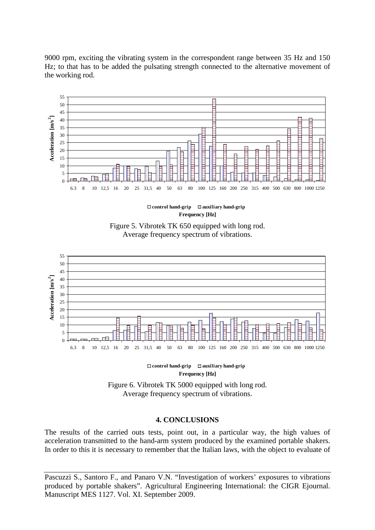9000 rpm, exciting the vibrating system in the correspondent range between 35 Hz and 150 Hz; to that has to be added the pulsating strength connected to the alternative movement of the working rod.



**Frequency [Hz] control hand-grip auxiliary hand-grip**







Figure 6. Vibrotek TK 5000 equipped with long rod. Average frequency spectrum of vibrations.

#### **4. CONCLUSIONS**

The results of the carried outs tests, point out, in a particular way, the high values of acceleration transmitted to the hand-arm system produced by the examined portable shakers. In order to this it is necessary to remember that the Italian laws, with the object to evaluate of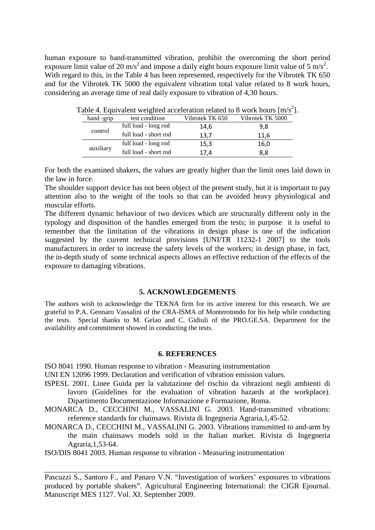human exposure to hand-transmitted vibration, prohibit the overcoming the short period exposure limit value of 20 m/s<sup>2</sup> and impose a daily eight hours exposure limit value of  $5 \text{ m/s}^2$ . With regard to this, in the Table 4 has been represented, respectively for the Vibrotek TK 650 and for the Vibrotek TK 5000 the equivalent vibration total value related to 8 work hours, considering an average time of real daily exposure to vibration of 4,30 hours.

|           |                       |                      |                 | able 4. Equivalent weighted acceleration related to 8 work hours [III/S]. |
|-----------|-----------------------|----------------------|-----------------|---------------------------------------------------------------------------|
|           | hand -grip            | test condition       | Vibrotek TK 650 | Vibrotek TK 5000                                                          |
| control   | full load - long rod  | 14,6                 | 9,8             |                                                                           |
|           | full load - short rod | 13,7                 | 11.6            |                                                                           |
|           |                       | full load - long rod | 15,3            | 16,0                                                                      |
| auxiliary | full load - short rod | 17.4                 | 8,8             |                                                                           |

| Table 4. Equivalent weighted acceleration related to 8 work hours [ $m/s2$ ]. |  |  |  |
|-------------------------------------------------------------------------------|--|--|--|
|                                                                               |  |  |  |
|                                                                               |  |  |  |

For both the examined shakers, the values are greatly higher than the limit ones laid down in the law in force.

The shoulder support device has not been object of the present study, but it is important to pay attention also to the weight of the tools so that can be avoided heavy physiological and muscular efforts.

The different dynamic behaviour of two devices which are structurally different only in the typology and disposition of the handles emerged from the tests; in purpose it is useful to remember that the limitation of the vibrations in design phase is one of the indication suggested by the current technical provisions [UNI/TR 11232-1 2007] to the tools manufacturers in order to increase the safety levels of the workers; in design phase, in fact, the in-depth study of some technical aspects allows an effective reduction of the effects of the exposure to damaging vibrations.

#### **5. ACKNOWLEDGEMENTS**

The authors wish to acknowledge the TEKNA firm for its active interest for this research. We are grateful to P.A. Gennaro Vassalini of the CRA-ISMA of Monterotondo for his help while conducting the tests. Special thanks to M. Gelao and C. Gidiuli of the PRO.GE.SA. Department for the availability and commitment showed in conducting the tests.

#### **6. REFERENCES**

ISO 8041 1990. Human response to vibration - Measuring instrumentation

UNI EN 12096 1999. Declaration and verification of vibration emission values.

- ISPESL 2001. Linee Guida per la valutazione del rischio da vibrazioni negli ambienti di lavoro (Guidelines for the evaluation of vibration hazards at the workplace). Dipartimento Documentazione Informazione e Formazione, Roma.
- MONARCA D., CECCHINI M., VASSALINI G. 2003. Hand-transmitted vibrations: reference standards for chainsaws. Rivista di Ingegneria Agraria,1,45-52.
- MONARCA D., CECCHINI M., VASSALINI G. 2003. Vibrations transmitted to and-arm by the main chainsaws models sold in the Italian market. Rivista di Ingegneria Agraria,1,53-64.
- ISO/DIS 8041 2003. Human response to vibration Measuring instrumentation

Pascuzzi S., Santoro F., and Panaro V.N. "Investigation of workers' exposures to vibrations produced by portable shakers". Agricultural Engineering International: the CIGR Ejournal. Manuscript MES 1127. Vol. XI. September 2009.